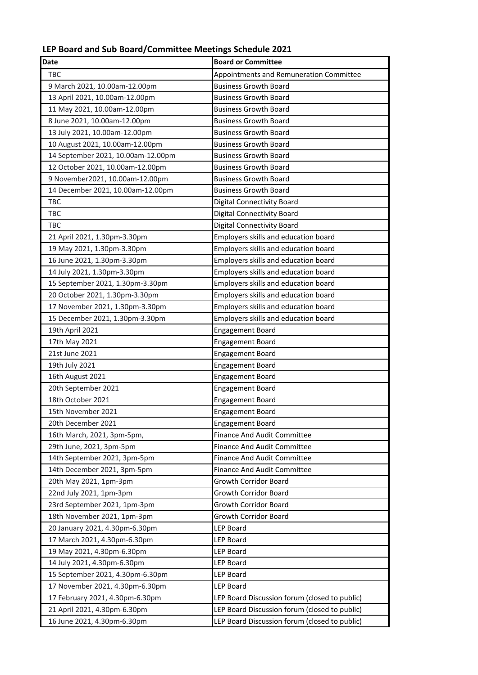## **LEP Board and Sub Board/Committee Meetings Schedule 2021**

| <b>Date</b>                                                        | <b>Board or Committee</b>                     |
|--------------------------------------------------------------------|-----------------------------------------------|
| TBC                                                                | Appointments and Remuneration Committee       |
| 9 March 2021, 10.00am-12.00pm                                      | <b>Business Growth Board</b>                  |
| 13 April 2021, 10.00am-12.00pm                                     | <b>Business Growth Board</b>                  |
| 11 May 2021, 10.00am-12.00pm                                       | <b>Business Growth Board</b>                  |
| 8 June 2021, 10.00am-12.00pm                                       | <b>Business Growth Board</b>                  |
| 13 July 2021, 10.00am-12.00pm                                      | <b>Business Growth Board</b>                  |
| 10 August 2021, 10.00am-12.00pm                                    | <b>Business Growth Board</b>                  |
| 14 September 2021, 10.00am-12.00pm                                 | <b>Business Growth Board</b>                  |
| 12 October 2021, 10.00am-12.00pm                                   | <b>Business Growth Board</b>                  |
| 9 November2021, 10.00am-12.00pm                                    | <b>Business Growth Board</b>                  |
| 14 December 2021, 10.00am-12.00pm                                  | <b>Business Growth Board</b>                  |
| TBC                                                                | <b>Digital Connectivity Board</b>             |
| <b>TBC</b>                                                         | <b>Digital Connectivity Board</b>             |
| TBC                                                                | <b>Digital Connectivity Board</b>             |
| 21 April 2021, 1.30pm-3.30pm                                       | Employers skills and education board          |
| 19 May 2021, 1.30pm-3.30pm                                         | Employers skills and education board          |
| 16 June 2021, 1.30pm-3.30pm                                        | Employers skills and education board          |
| 14 July 2021, 1.30pm-3.30pm                                        | Employers skills and education board          |
| 15 September 2021, 1.30pm-3.30pm                                   | Employers skills and education board          |
| 20 October 2021, 1.30pm-3.30pm                                     | Employers skills and education board          |
| 17 November 2021, 1.30pm-3.30pm                                    | Employers skills and education board          |
| 15 December 2021, 1.30pm-3.30pm                                    | Employers skills and education board          |
| 19th April 2021                                                    | <b>Engagement Board</b>                       |
| 17th May 2021                                                      | <b>Engagement Board</b>                       |
| 21st June 2021                                                     | <b>Engagement Board</b>                       |
| 19th July 2021                                                     | <b>Engagement Board</b>                       |
| 16th August 2021                                                   | <b>Engagement Board</b>                       |
| 20th September 2021                                                | <b>Engagement Board</b>                       |
| 18th October 2021                                                  | <b>Engagement Board</b>                       |
| 15th November 2021                                                 | <b>Engagement Board</b>                       |
| 20th December 2021                                                 | <b>Engagement Board</b>                       |
| 16th March, 2021, 3pm-5pm,                                         | Finance And Audit Committee                   |
| 29th June, 2021, 3pm-5pm                                           | <b>Finance And Audit Committee</b>            |
| 14th September 2021, 3pm-5pm                                       | <b>Finance And Audit Committee</b>            |
| 14th December 2021, 3pm-5pm                                        | <b>Finance And Audit Committee</b>            |
| 20th May 2021, 1pm-3pm                                             | Growth Corridor Board                         |
| 22nd July 2021, 1pm-3pm                                            | Growth Corridor Board                         |
| 23rd September 2021, 1pm-3pm                                       | Growth Corridor Board                         |
| 18th November 2021, 1pm-3pm                                        | Growth Corridor Board                         |
| 20 January 2021, 4.30pm-6.30pm                                     | <b>LEP Board</b><br>LEP Board                 |
| 17 March 2021, 4.30pm-6.30pm                                       | LEP Board                                     |
| 19 May 2021, 4.30pm-6.30pm                                         |                                               |
| 14 July 2021, 4.30pm-6.30pm                                        | LEP Board                                     |
| 15 September 2021, 4.30pm-6.30pm                                   | LEP Board<br><b>LEP Board</b>                 |
| 17 November 2021, 4.30pm-6.30pm<br>17 February 2021, 4.30pm-6.30pm | LEP Board Discussion forum (closed to public) |
| 21 April 2021, 4.30pm-6.30pm                                       | LEP Board Discussion forum (closed to public) |
|                                                                    | LEP Board Discussion forum (closed to public) |
| 16 June 2021, 4.30pm-6.30pm                                        |                                               |